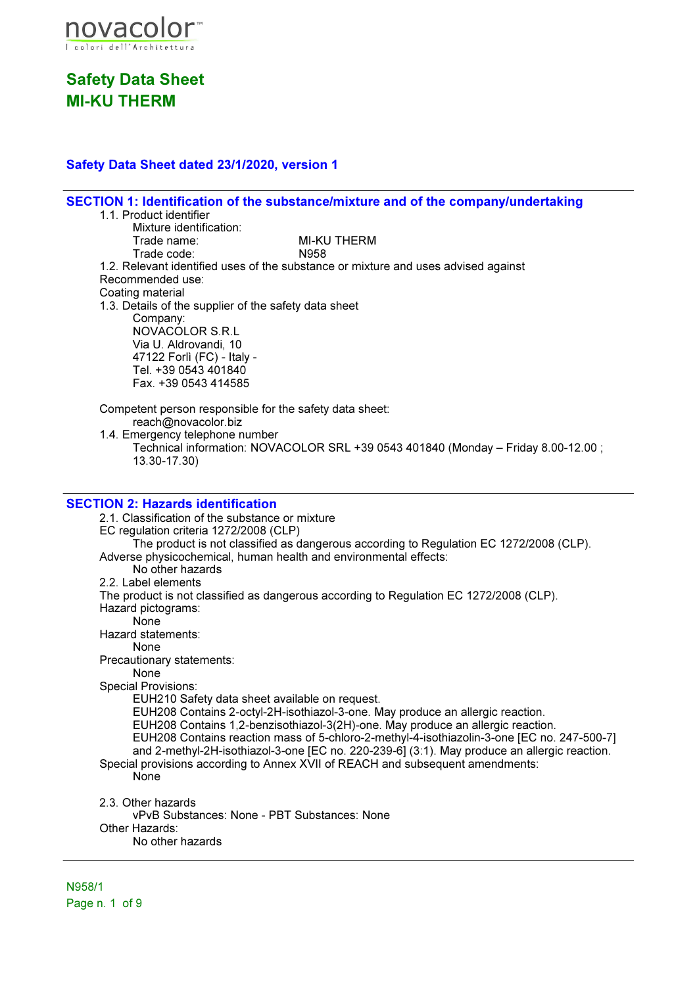

## Safety Data Sheet dated 23/1/2020, version 1

SECTION 1: Identification of the substance/mixture and of the company/undertaking 1.1. Product identifier Mixture identification:<br>Trade name: MI-KU THERM Trade code: N958 1.2. Relevant identified uses of the substance or mixture and uses advised against Recommended use: Coating material 1.3. Details of the supplier of the safety data sheet Company: NOVACOLOR S.R.L Via U. Aldrovandi, 10 47122 Forlì (FC) - Italy - Tel. +39 0543 401840 Fax. +39 0543 414585 Competent person responsible for the safety data sheet:

reach@novacolor.biz

1.4. Emergency telephone number

Technical information: NOVACOLOR SRL +39 0543 401840 (Monday – Friday 8.00-12.00 ; 13.30-17.30)

### SECTION 2: Hazards identification

2.1. Classification of the substance or mixture EC regulation criteria 1272/2008 (CLP) The product is not classified as dangerous according to Regulation EC 1272/2008 (CLP). Adverse physicochemical, human health and environmental effects: No other hazards 2.2. Label elements The product is not classified as dangerous according to Regulation EC 1272/2008 (CLP). Hazard pictograms: None Hazard statements: None Precautionary statements: None Special Provisions: EUH210 Safety data sheet available on request. EUH208 Contains 2-octyl-2H-isothiazol-3-one. May produce an allergic reaction. EUH208 Contains 1,2-benzisothiazol-3(2H)-one. May produce an allergic reaction. EUH208 Contains reaction mass of 5-chloro-2-methyl-4-isothiazolin-3-one [EC no. 247-500-7] and 2-methyl-2H-isothiazol-3-one [EC no. 220-239-6] (3:1). May produce an allergic reaction. Special provisions according to Annex XVII of REACH and subsequent amendments: None 2.3. Other hazards vPvB Substances: None - PBT Substances: None Other Hazards: No other hazards

N958/1 Page n. 1 of 9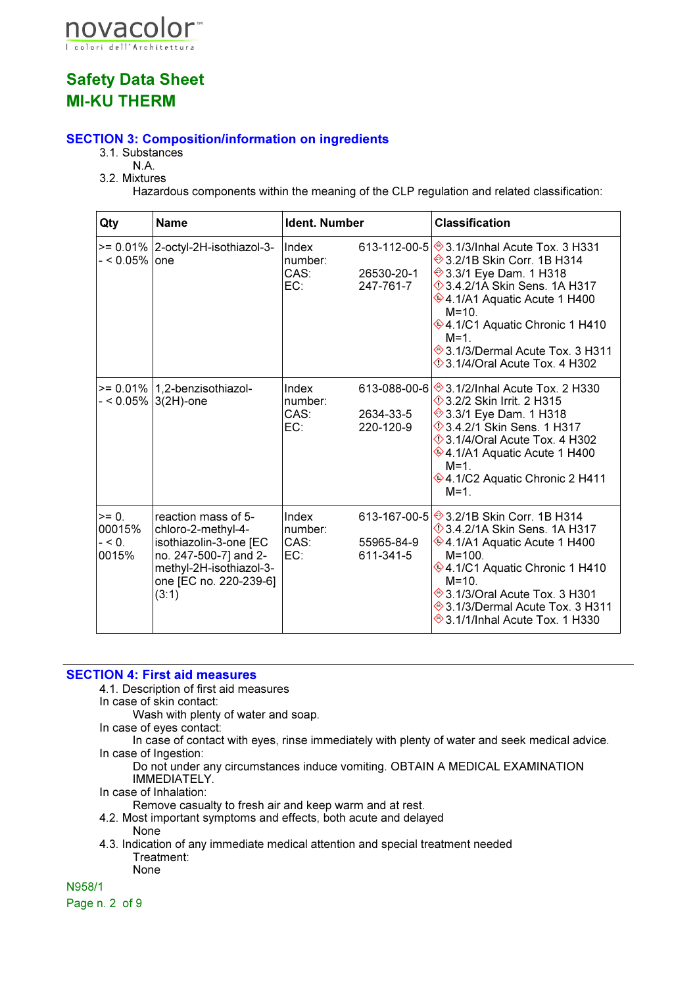

## SECTION 3: Composition/information on ingredients

- 3.1. Substances
	- N.A.
- 3.2. Mixtures

Hazardous components within the meaning of the CLP regulation and related classification:

| Qty                                    | <b>Name</b>                                                                                                                                                | <b>Ident. Number</b>            |                         | <b>Classification</b>                                                                                                                                                                                                                                                                                                                  |
|----------------------------------------|------------------------------------------------------------------------------------------------------------------------------------------------------------|---------------------------------|-------------------------|----------------------------------------------------------------------------------------------------------------------------------------------------------------------------------------------------------------------------------------------------------------------------------------------------------------------------------------|
| - < 0.05%  one                         | $>= 0.01\%$ 2-octyl-2H-isothiazol-3-                                                                                                                       | Index<br>number:<br>CAS:<br>EC: | 26530-20-1<br>247-761-7 | 613-112-00-5 ♦ 3.1/3/Inhal Acute Tox. 3 H331<br>→ 3.2/1B Skin Corr. 1B H314<br>→ 3.3/1 Eye Dam. 1 H318<br>$\Diamond$ 3.4.2/1A Skin Sens. 1A H317<br>$\circledast$ 4.1/A1 Aquatic Acute 1 H400<br>$M = 10.$<br>♦4.1/C1 Aquatic Chronic 1 H410<br>$M = 1$<br>→ 3.1/3/Dermal Acute Tox. 3 H311<br>$\Diamond$ 3.1/4/Oral Acute Tox. 4 H302 |
|                                        | $>= 0.01\%$   1,2-benzisothiazol-<br>- < 0.05% 3(2H)-one                                                                                                   | Index<br>number:<br>CAS:<br>EC: | 2634-33-5<br>220-120-9  | 613-088-00-6 $\otimes$ 3.1/2/Inhal Acute Tox. 2 H330<br><b>13.2/2 Skin Irrit. 2 H315</b><br>→ 3.3/1 Eye Dam. 1 H318<br>$\Diamond$ 3.4.2/1 Skin Sens. 1 H317<br><b>♦ 3.1/4/Oral Acute Tox. 4 H302</b><br>♦4.1/A1 Aquatic Acute 1 H400<br>$M = 1$ .<br>♦4.1/C2 Aquatic Chronic 2 H411<br>$M=1$ .                                         |
| $= 0$ .<br>00015%<br>$- < 0.$<br>0015% | reaction mass of 5-<br>chloro-2-methyl-4-<br>isothiazolin-3-one [EC<br>no. 247-500-7] and 2-<br>methyl-2H-isothiazol-3-<br>one [EC no. 220-239-6]<br>(3:1) | Index<br>number:<br>CAS:<br>EC: | 55965-84-9<br>611-341-5 | 613-167-00-5 $\otimes$ 3.2/1B Skin Corr. 1B H314<br>$\Diamond$ 3.4.2/1A Skin Sens. 1A H317<br>$*$ 4.1/A1 Aquatic Acute 1 H400<br>$M = 100.$<br><b>♦4.1/C1 Aquatic Chronic 1 H410</b><br>$M = 10.$<br>→ 3.1/3/Oral Acute Tox. 3 H301<br>→ 3.1/3/Dermal Acute Tox. 3 H311<br>→ 3.1/1/Inhal Acute Tox. 1 H330                             |

### SECTION 4: First aid measures

4.1. Description of first aid measures

In case of skin contact:

Wash with plenty of water and soap.

In case of eyes contact:

In case of contact with eyes, rinse immediately with plenty of water and seek medical advice. In case of Ingestion:

Do not under any circumstances induce vomiting. OBTAIN A MEDICAL EXAMINATION IMMEDIATELY.

In case of Inhalation:

Remove casualty to fresh air and keep warm and at rest.

- 4.2. Most important symptoms and effects, both acute and delayed None
- 4.3. Indication of any immediate medical attention and special treatment needed Treatment:
	- None

N958/1

Page n. 2 of 9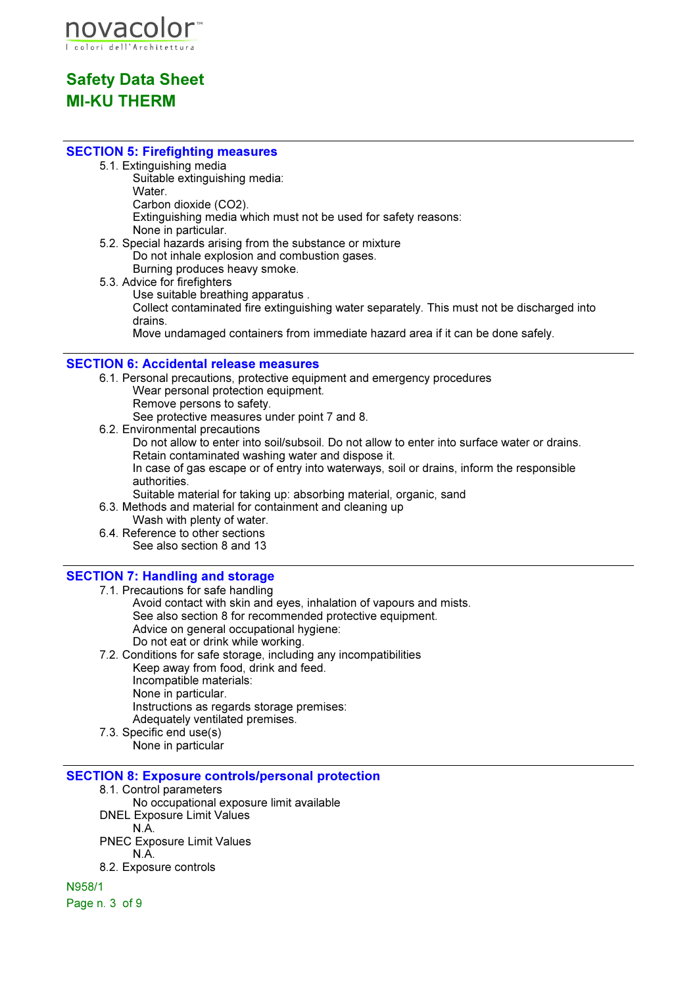

### SECTION 5: Firefighting measures

5.1. Extinguishing media

Suitable extinguishing media: Water. Carbon dioxide (CO2). Extinguishing media which must not be used for safety reasons: None in particular.

- 5.2. Special hazards arising from the substance or mixture Do not inhale explosion and combustion gases. Burning produces heavy smoke.
- 5.3. Advice for firefighters Use suitable breathing apparatus . Collect contaminated fire extinguishing water separately. This must not be discharged into drains. Move undamaged containers from immediate hazard area if it can be done safely.

### SECTION 6: Accidental release measures

- 6.1. Personal precautions, protective equipment and emergency procedures Wear personal protection equipment. Remove persons to safety. See protective measures under point 7 and 8. 6.2. Environmental precautions
	- Do not allow to enter into soil/subsoil. Do not allow to enter into surface water or drains. Retain contaminated washing water and dispose it. In case of gas escape or of entry into waterways, soil or drains, inform the responsible authorities.
- Suitable material for taking up: absorbing material, organic, sand

6.3. Methods and material for containment and cleaning up

- Wash with plenty of water.
- 6.4. Reference to other sections See also section 8 and 13

## SECTION 7: Handling and storage

- 7.1. Precautions for safe handling Avoid contact with skin and eyes, inhalation of vapours and mists. See also section 8 for recommended protective equipment. Advice on general occupational hygiene: Do not eat or drink while working.
- 7.2. Conditions for safe storage, including any incompatibilities Keep away from food, drink and feed. Incompatible materials: None in particular. Instructions as regards storage premises: Adequately ventilated premises. 7.3. Specific end use(s)
	- None in particular

### SECTION 8: Exposure controls/personal protection

8.1. Control parameters No occupational exposure limit available DNEL Exposure Limit Values N.A. PNEC Exposure Limit Values N.A. 8.2. Exposure controls

N958/1 Page n. 3 of 9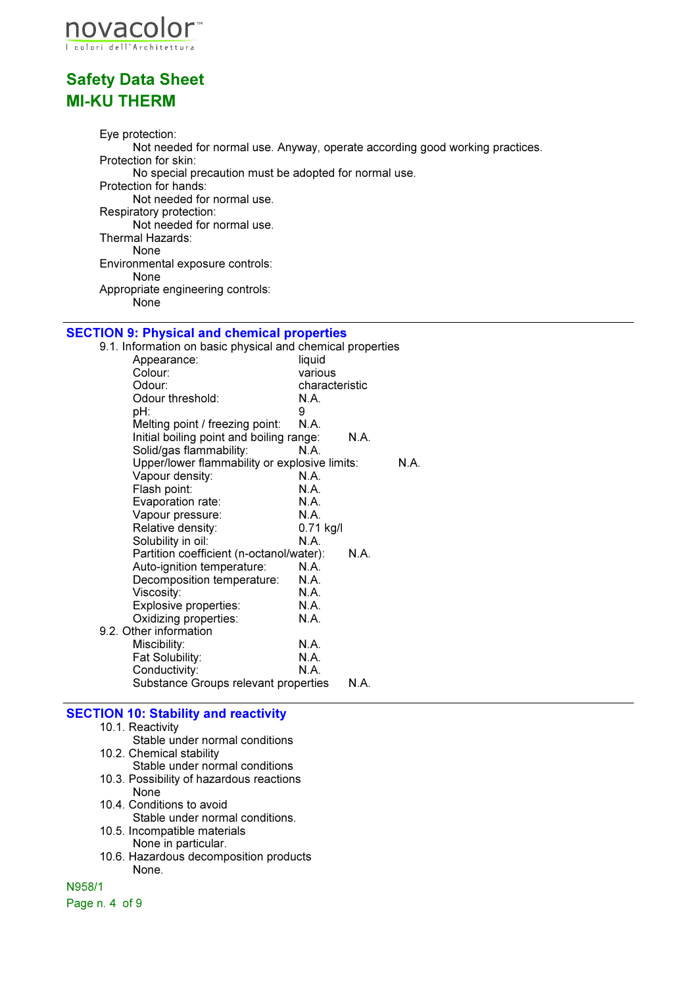

Eye protection: Not needed for normal use. Anyway, operate according good working practices. Protection for skin: No special precaution must be adopted for normal use. Protection for hands: Not needed for normal use. Respiratory protection: Not needed for normal use. Thermal Hazards: None Environmental exposure controls: None Appropriate engineering controls: None

# **SECTION 9: Physical and chemical properties**<br>9.1. Information on basic physical and chemical

| 9.1. Information on basic physical and chemical properties |                |      |      |
|------------------------------------------------------------|----------------|------|------|
| Appearance:                                                | liquid         |      |      |
| Colour:                                                    | various        |      |      |
| Odour:                                                     | characteristic |      |      |
| Odour threshold:                                           | N.A.           |      |      |
| pH:                                                        | 9              |      |      |
| Melting point / freezing point:                            | N.A.           |      |      |
| Initial boiling point and boiling range:                   |                | N.A. |      |
| Solid/gas flammability:                                    | N.A.           |      |      |
| Upper/lower flammability or explosive limits:              |                |      | N.A. |
| Vapour density:                                            | N.A.           |      |      |
| Flash point:                                               | N.A.           |      |      |
| Evaporation rate:                                          | N.A.           |      |      |
| Vapour pressure:                                           | N.A.           |      |      |
| Relative density:                                          | $0.71$ kg/l    |      |      |
| Solubility in oil:                                         | N.A.           |      |      |
| Partition coefficient (n-octanol/water):                   |                | N.A. |      |
| Auto-ignition temperature:                                 | N.A.           |      |      |
| Decomposition temperature:                                 | N.A.           |      |      |
| Viscosity:                                                 | N.A.           |      |      |
| Explosive properties:                                      | N.A.           |      |      |
| Oxidizing properties:                                      | N.A.           |      |      |
| 9.2. Other information                                     |                |      |      |
| Miscibility:                                               | N.A.           |      |      |
| Fat Solubility:                                            | <b>N.A.</b>    |      |      |
| Conductivity:                                              | N.A.           |      |      |
| Substance Groups relevant properties                       |                | N.A. |      |

### SECTION 10: Stability and reactivity

- 10.1. Reactivity
	- Stable under normal conditions
- 10.2. Chemical stability
	- Stable under normal conditions
- 10.3. Possibility of hazardous reactions None
- 10.4. Conditions to avoid Stable under normal conditions.
- 10.5. Incompatible materials
	- None in particular.
- 10.6. Hazardous decomposition products None.

N958/1

Page n. 4 of 9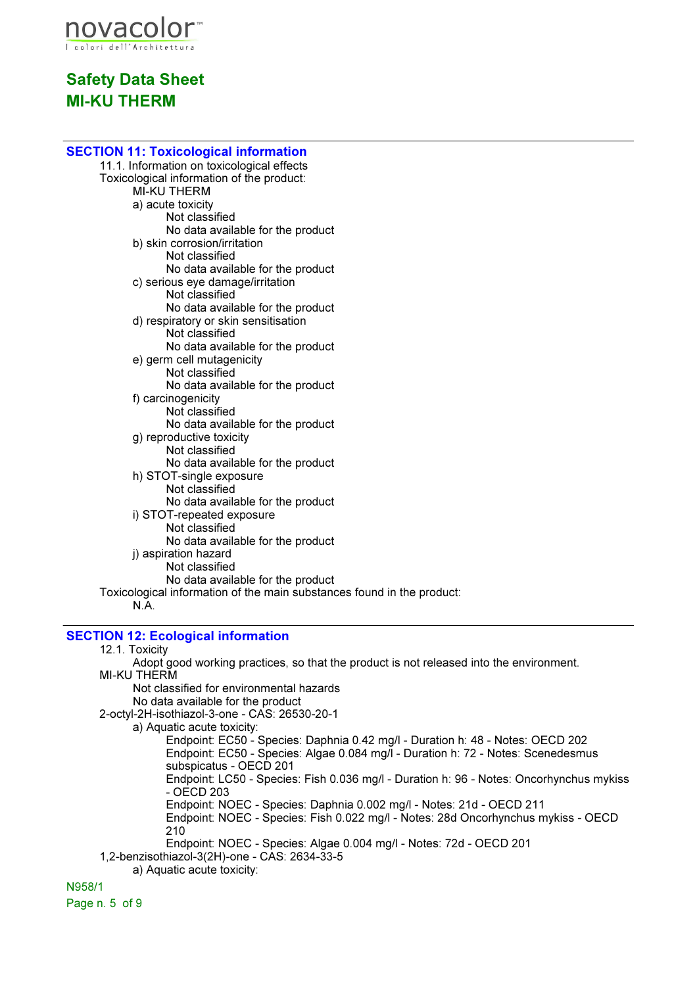

| <b>SECTION 11: Toxicological information</b>                                 |
|------------------------------------------------------------------------------|
| 11.1. Information on toxicological effects                                   |
| Toxicological information of the product:                                    |
| <b>MI-KU THERM</b>                                                           |
| a) acute toxicity                                                            |
| Not classified                                                               |
| No data available for the product                                            |
| b) skin corrosion/irritation                                                 |
| Not classified                                                               |
| No data available for the product                                            |
| c) serious eye damage/irritation                                             |
| Not classified                                                               |
| No data available for the product                                            |
| d) respiratory or skin sensitisation                                         |
| Not classified                                                               |
| No data available for the product                                            |
| e) germ cell mutagenicity                                                    |
| Not classified                                                               |
| No data available for the product                                            |
| f) carcinogenicity<br>Not classified                                         |
| No data available for the product                                            |
| g) reproductive toxicity                                                     |
| Not classified                                                               |
| No data available for the product                                            |
| h) STOT-single exposure                                                      |
| Not classified                                                               |
| No data available for the product                                            |
| i) STOT-repeated exposure                                                    |
| Not classified                                                               |
| No data available for the product                                            |
| j) aspiration hazard                                                         |
| Not classified                                                               |
| No data available for the product                                            |
| Toxicological information of the main substances found in the product:       |
| N.A                                                                          |
| <b>SECTION 12: Ecological information</b>                                    |
| 12.1. Toxicity                                                               |
| Adont good working practices, so that the product is not released into the e |

Adopt good working practices, so that the product is not released into the environment. MI-KU THERM

Not classified for environmental hazards

No data available for the product

2-octyl-2H-isothiazol-3-one - CAS: 26530-20-1

a) Aquatic acute toxicity:

Endpoint: EC50 - Species: Daphnia 0.42 mg/l - Duration h: 48 - Notes: OECD 202 Endpoint: EC50 - Species: Algae 0.084 mg/l - Duration h: 72 - Notes: Scenedesmus subspicatus - OECD 201 Endpoint: LC50 - Species: Fish 0.036 mg/l - Duration h: 96 - Notes: Oncorhynchus mykiss - OECD 203

Endpoint: NOEC - Species: Daphnia 0.002 mg/l - Notes: 21d - OECD 211

Endpoint: NOEC - Species: Fish 0.022 mg/l - Notes: 28d Oncorhynchus mykiss - OECD 210

Endpoint: NOEC - Species: Algae 0.004 mg/l - Notes: 72d - OECD 201 1,2-benzisothiazol-3(2H)-one - CAS: 2634-33-5

a) Aquatic acute toxicity:

N958/1

Page n. 5 of 9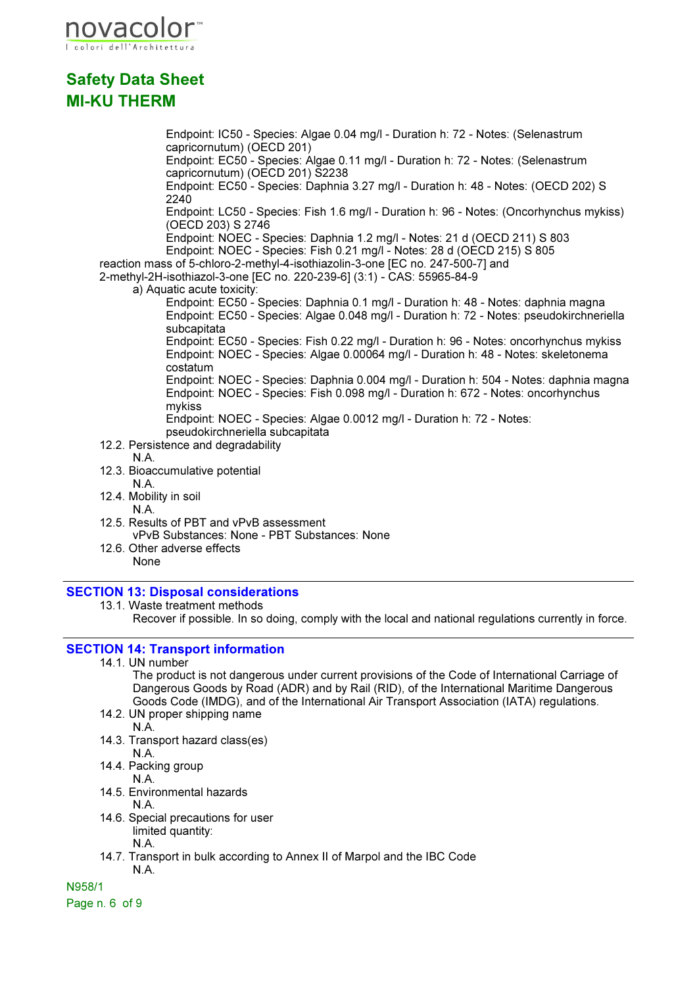

Endpoint: IC50 - Species: Algae 0.04 mg/l - Duration h: 72 - Notes: (Selenastrum capricornutum) (OECD 201) Endpoint: EC50 - Species: Algae 0.11 mg/l - Duration h: 72 - Notes: (Selenastrum capricornutum) (OECD 201) S2238 Endpoint: EC50 - Species: Daphnia 3.27 mg/l - Duration h: 48 - Notes: (OECD 202) S 2240 Endpoint: LC50 - Species: Fish 1.6 mg/l - Duration h: 96 - Notes: (Oncorhynchus mykiss) (OECD 203) S 2746 Endpoint: NOEC - Species: Daphnia 1.2 mg/l - Notes: 21 d (OECD 211) S 803 Endpoint: NOEC - Species: Fish 0.21 mg/l - Notes: 28 d (OECD 215) S 805 reaction mass of 5-chloro-2-methyl-4-isothiazolin-3-one [EC no. 247-500-7] and 2-methyl-2H-isothiazol-3-one [EC no. 220-239-6] (3:1) - CAS: 55965-84-9 a) Aquatic acute toxicity: Endpoint: EC50 - Species: Daphnia 0.1 mg/l - Duration h: 48 - Notes: daphnia magna Endpoint: EC50 - Species: Algae 0.048 mg/l - Duration h: 72 - Notes: pseudokirchneriella subcapitata Endpoint: EC50 - Species: Fish 0.22 mg/l - Duration h: 96 - Notes: oncorhynchus mykiss Endpoint: NOEC - Species: Algae 0.00064 mg/l - Duration h: 48 - Notes: skeletonema costatum Endpoint: NOEC - Species: Daphnia 0.004 mg/l - Duration h: 504 - Notes: daphnia magna Endpoint: NOEC - Species: Fish 0.098 mg/l - Duration h: 672 - Notes: oncorhynchus mykiss Endpoint: NOEC - Species: Algae 0.0012 mg/l - Duration h: 72 - Notes: pseudokirchneriella subcapitata 12.2. Persistence and degradability N.A. 12.3. Bioaccumulative potential N.A. 12.4. Mobility in soil N.A. 12.5. Results of PBT and vPvB assessment

- vPvB Substances: None PBT Substances: None
- 12.6. Other adverse effects None

### SECTION 13: Disposal considerations

13.1. Waste treatment methods

Recover if possible. In so doing, comply with the local and national regulations currently in force.

## SECTION 14: Transport information

14.1. UN number

The product is not dangerous under current provisions of the Code of International Carriage of Dangerous Goods by Road (ADR) and by Rail (RID), of the International Maritime Dangerous Goods Code (IMDG), and of the International Air Transport Association (IATA) regulations.

14.2. UN proper shipping name

N.A.

- 14.3. Transport hazard class(es)
- N.A.
- 14.4. Packing group N.A.
- 14.5. Environmental hazards

N.A.

14.6. Special precautions for user limited quantity:

N.A.

14.7. Transport in bulk according to Annex II of Marpol and the IBC Code N.A.

N958/1

Page n. 6 of 9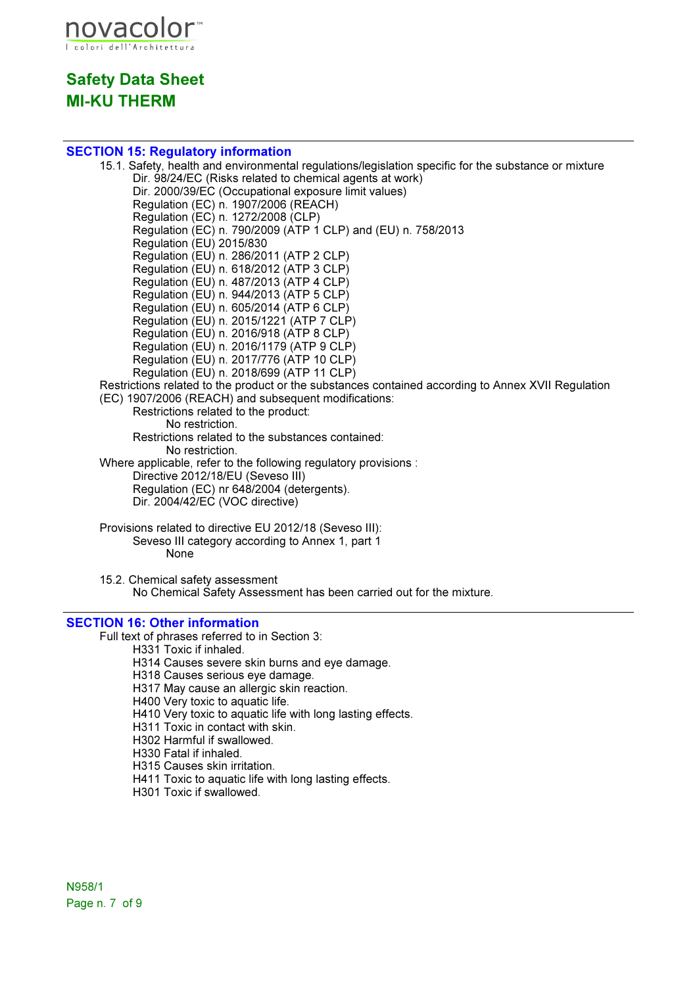

### SECTION 15: Regulatory information

15.1. Safety, health and environmental regulations/legislation specific for the substance or mixture Dir. 98/24/EC (Risks related to chemical agents at work) Dir. 2000/39/EC (Occupational exposure limit values) Regulation (EC) n. 1907/2006 (REACH) Regulation (EC) n. 1272/2008 (CLP) Regulation (EC) n. 790/2009 (ATP 1 CLP) and (EU) n. 758/2013 Regulation (EU) 2015/830 Regulation (EU) n. 286/2011 (ATP 2 CLP) Regulation (EU) n. 618/2012 (ATP 3 CLP) Regulation (EU) n. 487/2013 (ATP 4 CLP) Regulation (EU) n. 944/2013 (ATP 5 CLP) Regulation (EU) n. 605/2014 (ATP 6 CLP) Regulation (EU) n. 2015/1221 (ATP 7 CLP) Regulation (EU) n. 2016/918 (ATP 8 CLP) Regulation (EU) n. 2016/1179 (ATP 9 CLP) Regulation (EU) n. 2017/776 (ATP 10 CLP) Regulation (EU) n. 2018/699 (ATP 11 CLP) Restrictions related to the product or the substances contained according to Annex XVII Regulation (EC) 1907/2006 (REACH) and subsequent modifications: Restrictions related to the product: No restriction. Restrictions related to the substances contained: No restriction. Where applicable, refer to the following regulatory provisions : Directive 2012/18/EU (Seveso III) Regulation (EC) nr 648/2004 (detergents). Dir. 2004/42/EC (VOC directive) Provisions related to directive EU 2012/18 (Seveso III): Seveso III category according to Annex 1, part 1 None

15.2. Chemical safety assessment No Chemical Safety Assessment has been carried out for the mixture.

### SECTION 16: Other information

Full text of phrases referred to in Section 3:

H331 Toxic if inhaled.

- H314 Causes severe skin burns and eye damage.
- H318 Causes serious eye damage.

H317 May cause an allergic skin reaction.

H400 Very toxic to aquatic life.

H410 Very toxic to aquatic life with long lasting effects.

- H311 Toxic in contact with skin.
- H302 Harmful if swallowed.
- H330 Fatal if inhaled.
- H315 Causes skin irritation.
- H411 Toxic to aquatic life with long lasting effects.
- H301 Toxic if swallowed.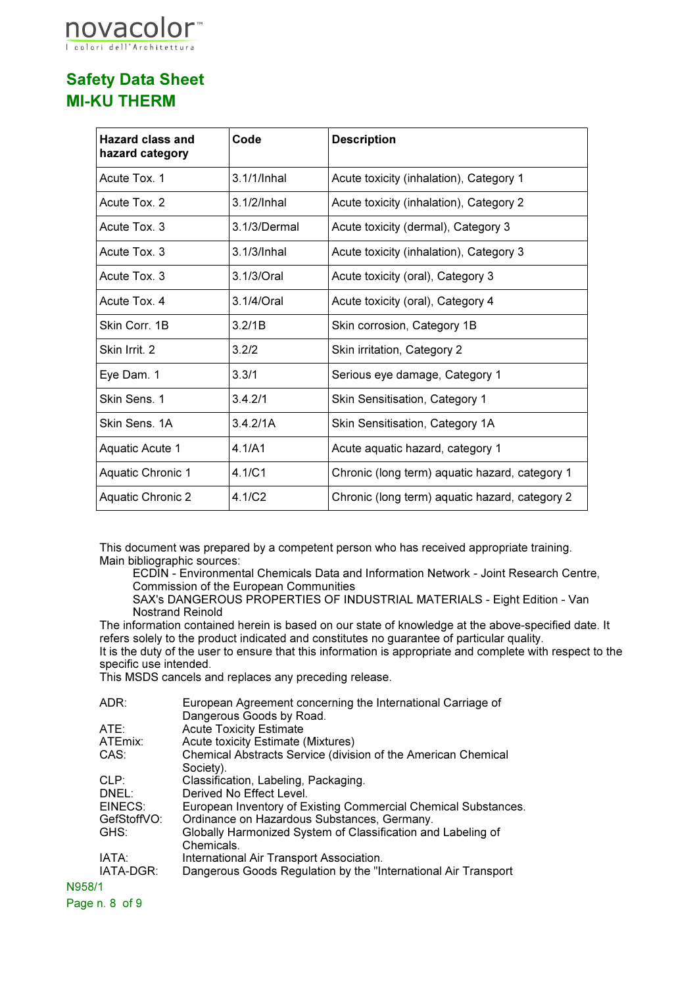

| <b>Hazard class and</b><br>hazard category | Code           | <b>Description</b>                             |
|--------------------------------------------|----------------|------------------------------------------------|
| Acute Tox. 1                               | 3.1/1/Inhal    | Acute toxicity (inhalation), Category 1        |
| Acute Tox, 2                               | $3.1/2$ /Inhal | Acute toxicity (inhalation), Category 2        |
| Acute Tox. 3                               | 3.1/3/Dermal   | Acute toxicity (dermal), Category 3            |
| Acute Tox, 3                               | 3.1/3/Inhal    | Acute toxicity (inhalation), Category 3        |
| Acute Tox. 3                               | 3.1/3/Oral     | Acute toxicity (oral), Category 3              |
| Acute Tox. 4                               | $3.1/4$ /Oral  | Acute toxicity (oral), Category 4              |
| Skin Corr. 1B                              | 3.2/1B         | Skin corrosion, Category 1B                    |
| Skin Irrit. 2                              | 3.2/2          | Skin irritation, Category 2                    |
| Eye Dam. 1                                 | 3.3/1          | Serious eye damage, Category 1                 |
| Skin Sens. 1                               | 3.4.2/1        | Skin Sensitisation, Category 1                 |
| Skin Sens, 1A                              | 3.4.2/1A       | Skin Sensitisation, Category 1A                |
| Aquatic Acute 1                            | 4.1/A1         | Acute aquatic hazard, category 1               |
| <b>Aquatic Chronic 1</b>                   | 4.1/C1         | Chronic (long term) aquatic hazard, category 1 |
| Aquatic Chronic 2                          | 4.1/C2         | Chronic (long term) aquatic hazard, category 2 |

This document was prepared by a competent person who has received appropriate training. Main bibliographic sources:

ECDIN - Environmental Chemicals Data and Information Network - Joint Research Centre, Commission of the European Communities

SAX's DANGEROUS PROPERTIES OF INDUSTRIAL MATERIALS - Eight Edition - Van Nostrand Reinold

The information contained herein is based on our state of knowledge at the above-specified date. It refers solely to the product indicated and constitutes no guarantee of particular quality. It is the duty of the user to ensure that this information is appropriate and complete with respect to the specific use intended.

This MSDS cancels and replaces any preceding release.

|        | ADR:        | European Agreement concerning the International Carriage of    |
|--------|-------------|----------------------------------------------------------------|
|        |             | Dangerous Goods by Road.                                       |
|        | ATE:        | <b>Acute Toxicity Estimate</b>                                 |
|        | ATEmix:     | Acute toxicity Estimate (Mixtures)                             |
|        | CAS:        | Chemical Abstracts Service (division of the American Chemical  |
|        |             | Society).                                                      |
|        | CLP:        | Classification, Labeling, Packaging.                           |
|        | DNEL:       | Derived No Effect Level.                                       |
|        | EINECS:     | European Inventory of Existing Commercial Chemical Substances. |
|        | GefStoffVO: | Ordinance on Hazardous Substances, Germany.                    |
|        | GHS:        | Globally Harmonized System of Classification and Labeling of   |
|        |             | Chemicals.                                                     |
|        | IATA:       | International Air Transport Association.                       |
|        | IATA-DGR:   | Dangerous Goods Regulation by the "International Air Transport |
| N958/1 |             |                                                                |

Page n. 8 of 9